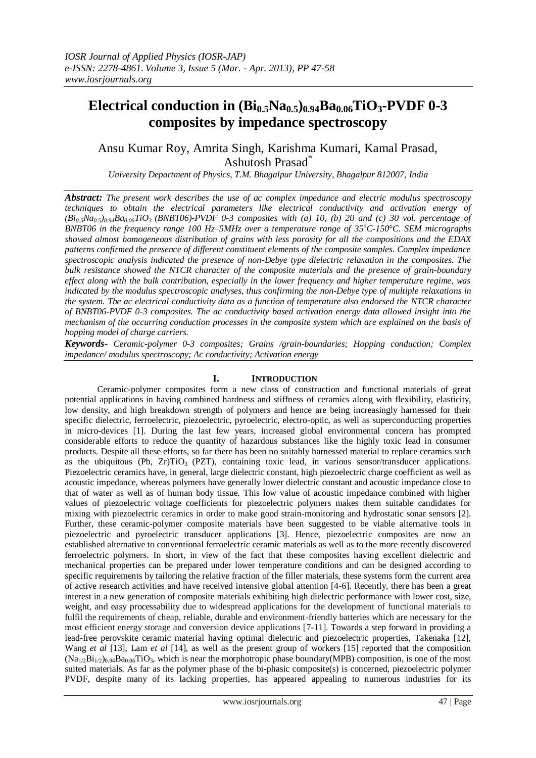# **Electrical conduction in**  $(\text{Bi}_0, \text{s} \text{Na}_0, \text{s})$  $\text{o}_0$  $\text{o}_4$ **<b>Ba** $\text{o}_0$  $\text{o}_6$ **TiO** $\text{s}$ **-PVDF** 0-3 **composites by impedance spectroscopy**

## Ansu Kumar Roy, Amrita Singh, Karishma Kumari, Kamal Prasad, Ashutosh Prasad\*

*University Department of Physics, T.M. Bhagalpur University, Bhagalpur 812007, India*

*Abstract: The present work describes the use of ac complex impedance and electric modulus spectroscopy techniques to obtain the electrical parameters like electrical conductivity and activation energy of*   $(Bi<sub>0.5</sub>Na<sub>0.5</sub>)<sub>0.94</sub>Ba<sub>0.06</sub>TiO<sub>3</sub>$  (BNBT06)-PVDF 0-3 composites with (a) 10, (b) 20 and (c) 30 vol. percentage of *BNBT06 in the frequency range 100 Hz–5MHz over a temperature range of 35<sup>o</sup>C-150°C. SEM micrographs showed almost homogeneous distribution of grains with less porosity for all the compositions and the EDAX patterns confirmed the presence of different constituent elements of the composite samples. Complex impedance spectroscopic analysis indicated the presence of non-Debye type dielectric relaxation in the composites. The bulk resistance showed the NTCR character of the composite materials and the presence of grain-boundary effect along with the bulk contribution, especially in the lower frequency and higher temperature regime, was indicated by the modulus spectroscopic analyses, thus confirming the non-Debye type of multiple relaxations in the system. The ac electrical conductivity data as a function of temperature also endorsed the NTCR character of BNBT06-PVDF 0-3 composites. The ac conductivity based activation energy data allowed insight into the mechanism of the occurring conduction processes in the composite system which are explained on the basis of hopping model of charge carriers.*

*Keywords- Ceramic-polymer 0-3 composites; Grains /grain-boundaries; Hopping conduction; Complex impedance/ modulus spectroscopy; Ac conductivity; Activation energy*

### **I. INTRODUCTION**

Ceramic-polymer composites form a new class of construction and functional materials of great potential applications in having combined hardness and stiffness of ceramics along with flexibility, elasticity, low density, and high breakdown strength of polymers and hence are being increasingly harnessed for their specific dielectric, ferroelectric, piezoelectric, pyroelectric, electro-optic, as well as superconducting properties in micro-devices [1]. During the last few years, increased global environmental concern has prompted considerable efforts to reduce the quantity of hazardous substances like the highly toxic lead in consumer products. Despite all these efforts, so far there has been no suitably harnessed material to replace ceramics such as the ubiquitous (Pb,  $Zr$ )TiO<sub>3</sub> (PZT), containing toxic lead, in various sensor/transducer applications. Piezoelectric ceramics have, in general, large dielectric constant, high piezoelectric charge coefficient as well as acoustic impedance, whereas polymers have generally lower dielectric constant and acoustic impedance close to that of water as well as of human body tissue. This low value of acoustic impedance combined with higher values of piezoelectric voltage coefficients for piezoelectric polymers makes them suitable candidates for mixing with piezoelectric ceramics in order to make good strain-monitoring and hydrostatic sonar sensors [2]. Further, these ceramic-polymer composite materials have been suggested to be viable alternative tools in piezoelectric and pyroelectric transducer applications [3]. Hence, piezoelectric composites are now an established alternative to conventional ferroelectric ceramic materials as well as to the more recently discovered ferroelectric polymers. In short, in view of the fact that these composites having excellent dielectric and mechanical properties can be prepared under lower temperature conditions and can be designed according to specific requirements by tailoring the relative fraction of the filler materials, these systems form the current area of active research activities and have received intensive global attention [4-6]. Recently, there has been a great interest in a new generation of composite materials exhibiting high dielectric performance with lower cost, size, weight, and easy processability due to widespread applications for the development of functional materials to fulfil the requirements of cheap, reliable, durable and environment-friendly batteries which are necessary for the most efficient energy storage and conversion device applications [7-11]. Towards a step forward in providing a lead-free perovskite ceramic material having optimal dielectric and piezoelectric properties, Takenaka [12], Wang *et al* [13], Lam *et al* [14], as well as the present group of workers [15] reported that the composition  $(Na_{1/2}Bi_{1/2})_{0.94}Ba_{0.06}TiO_3$ , which is near the morphotropic phase boundary(MPB) composition, is one of the most suited materials. As far as the polymer phase of the bi-phasic composite(s) is concerned, piezoelectric polymer PVDF, despite many of its lacking properties, has appeared appealing to numerous industries for its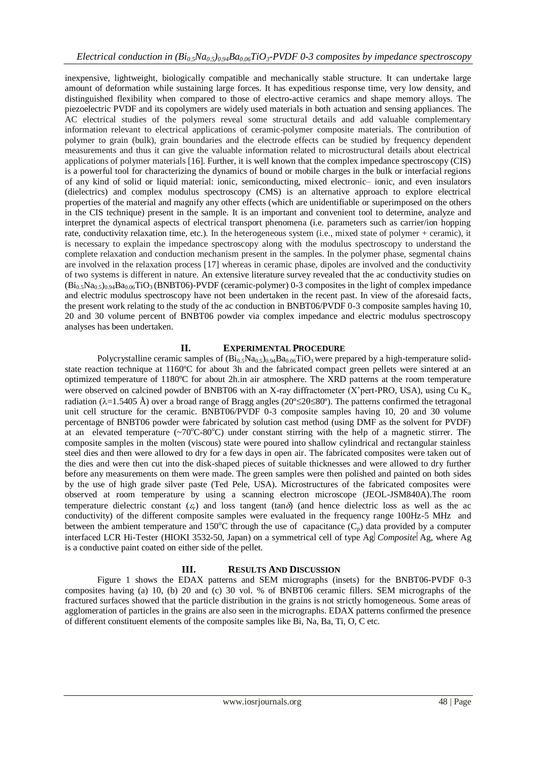inexpensive, lightweight, biologically compatible and mechanically stable structure. It can undertake large amount of deformation while sustaining large forces. It has expeditious response time, very low density, and distinguished flexibility when compared to those of electro-active ceramics and shape memory alloys. The piezoelectric PVDF and its copolymers are widely used materials in both actuation and sensing appliances. The AC electrical studies of the polymers reveal some structural details and add valuable complementary information relevant to electrical applications of ceramic-polymer composite materials. The contribution of polymer to grain (bulk), grain boundaries and the electrode effects can be studied by frequency dependent measurements and thus it can give the valuable information related to microstructural details about electrical applications of polymer materials [16]. Further, it is well known that the complex impedance spectroscopy (CIS) is a powerful tool for characterizing the dynamics of bound or mobile charges in the bulk or interfacial regions of any kind of solid or liquid material: ionic, semiconducting, mixed electronic– ionic, and even insulators (dielectrics) and complex modulus spectroscopy (CMS) is an alternative approach to explore electrical properties of the material and magnify any other effects (which are unidentifiable or superimposed on the others in the CIS technique) present in the sample. It is an important and convenient tool to determine, analyze and interpret the dynamical aspects of electrical transport phenomena (i.e. parameters such as carrier/ion hopping rate, conductivity relaxation time, etc.). In the heterogeneous system (i.e., mixed state of polymer + ceramic), it is necessary to explain the impedance spectroscopy along with the modulus spectroscopy to understand the complete relaxation and conduction mechanism present in the samples. In the polymer phase, segmental chains are involved in the relaxation process [17] whereas in ceramic phase, dipoles are involved and the conductivity of two systems is different in nature. An extensive literature survey revealed that the ac conductivity studies on  $(B_{10}S_{10}S_{0.94}Ba_{0.06}TiO_3(BNBT06)-PVDF$  (ceramic-polymer) 0-3 composites in the light of complex impedance and electric modulus spectroscopy have not been undertaken in the recent past. In view of the aforesaid facts, the present work relating to the study of the ac conduction in BNBT06/PVDF 0-3 composite samples having 10, 20 and 30 volume percent of BNBT06 powder via complex impedance and electric modulus spectroscopy analyses has been undertaken.

## **II. EXPERIMENTAL PROCEDURE**

Polycrystalline ceramic samples of  $(Bi_{0.5}Na_{0.5})_{0.94}Ba_{0.06}TiO_3$  were prepared by a high-temperature solidstate reaction technique at 1160ºC for about 3h and the fabricated compact green pellets were sintered at an optimized temperature of 1180ºC for about 2h.in air atmosphere. The XRD patterns at the room temperature were observed on calcined powder of BNBT06 with an X-ray diffractometer (X'pert-PRO, USA), using Cu  $K_{\alpha}$ radiation ( $\lambda = 1.5405$  Å) over a broad range of Bragg angles ( $20^{\circ} \le 20 \le 80^{\circ}$ ). The patterns confirmed the tetragonal unit cell structure for the ceramic. BNBT06/PVDF 0-3 composite samples having 10, 20 and 30 volume percentage of BNBT06 powder were fabricated by solution cast method (using DMF as the solvent for PVDF) at an elevated temperature  $(\sim 70^{\circ}C \cdot 80^{\circ}C)$  under constant stirring with the help of a magnetic stirrer. The composite samples in the molten (viscous) state were poured into shallow cylindrical and rectangular stainless steel dies and then were allowed to dry for a few days in open air. The fabricated composites were taken out of the dies and were then cut into the disk-shaped pieces of suitable thicknesses and were allowed to dry further before any measurements on them were made. The green samples were then polished and painted on both sides by the use of high grade silver paste (Ted Pele, USA). Microstructures of the fabricated composites were observed at room temperature by using a scanning electron microscope (JEOL-JSM840A).The room temperature dielectric constant  $(\varepsilon_r)$  and loss tangent (tan $\delta$ ) (and hence dielectric loss as well as the ac conductivity) of the different composite samples were evaluated in the frequency range 100Hz-5 MHz and between the ambient temperature and 150°C through the use of capacitance  $(C_p)$  data provided by a computer interfaced LCR Hi-Tester (HIOKI 3532-50, Japan) on a symmetrical cell of type  $Ag|$  Composite  $Ag$ , where Ag is a conductive paint coated on either side of the pellet.

## **III. RESULTS AND DISCUSSION**

Figure 1 shows the EDAX patterns and SEM micrographs (insets) for the BNBT06-PVDF 0-3 composites having (a) 10, (b) 20 and (c) 30 vol. % of BNBT06 ceramic fillers. SEM micrographs of the fractured surfaces showed that the particle distribution in the grains is not strictly homogeneous. Some areas of agglomeration of particles in the grains are also seen in the micrographs. EDAX patterns confirmed the presence of different constituent elements of the composite samples like Bi, Na, Ba, Ti, O, C etc.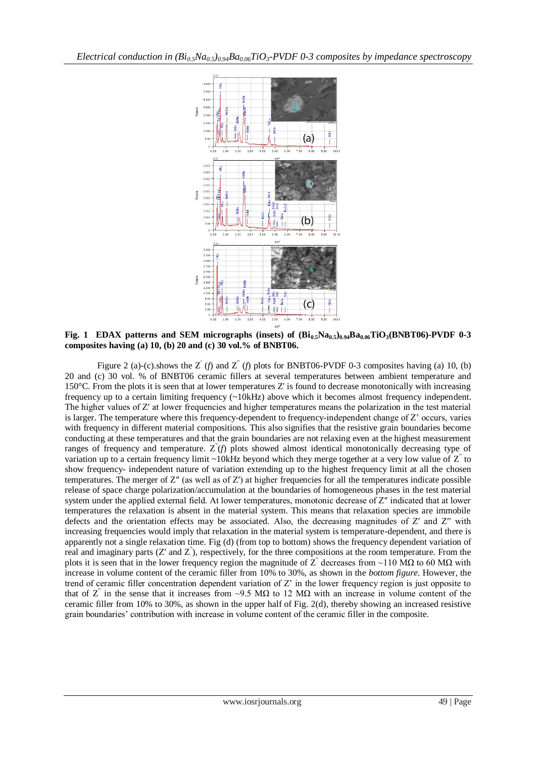

**Fig. 1** EDAX patterns and SEM micrographs (insets) of  $(Bi_{0.5}Na_{0.5})_{0.94}Ba_{0.06}TiO_3(BNBT06)$ -PVDF 0-3 **composites having (a) 10, (b) 20 and (c) 30 vol.% of BNBT06.**

Figure 2 (a)-(c).shows the Z<sup>'</sup> (*f*) and Z<sup>"</sup> (*f*) plots for BNBT06-PVDF 0-3 composites having (a) 10, (b) 20 and (c) 30 vol. % of BNBT06 ceramic fillers at several temperatures between ambient temperature and 150°C. From the plots it is seen that at lower temperatures Z' is found to decrease monotonically with increasing frequency up to a certain limiting frequency (~10kHz) above which it becomes almost frequency independent. The higher values of Z' at lower frequencies and higher temperatures means the polarization in the test material is larger. The temperature where this frequency-dependent to frequency-independent change of Z' occurs, varies with frequency in different material compositions. This also signifies that the resistive grain boundaries become conducting at these temperatures and that the grain boundaries are not relaxing even at the highest measurement ranges of frequency and temperature. Z′′(*f*) plots showed almost identical monotonically decreasing type of variation up to a certain frequency limit ~10kHz beyond which they merge together at a very low value of  $Z^{\prime}$  to show frequency- independent nature of variation extending up to the highest frequency limit at all the chosen temperatures. The merger of  $Z''$  (as well as of  $Z'$ ) at higher frequencies for all the temperatures indicate possible release of space charge polarization/accumulation at the boundaries of homogeneous phases in the test material system under the applied external field. At lower temperatures, monotonic decrease of Z" indicated that at lower temperatures the relaxation is absent in the material system. This means that relaxation species are immobile defects and the orientation effects may be associated. Also, the decreasing magnitudes of Z′ and Z′′ with increasing frequencies would imply that relaxation in the material system is temperature-dependent, and there is apparently not a single relaxation time. Fig (d) (from top to bottom) shows the frequency dependent variation of real and imaginary parts  $(Z'$  and  $Z'$ ), respectively, for the three compositions at the room temperature. From the plots it is seen that in the lower frequency region the magnitude of  $Z^{\prime}$  decreases from ~110 MΩ to 60 MΩ with increase in volume content of the ceramic filler from 10% to 30%, as shown in the *bottom figure*. However, the trend of ceramic filler concentration dependent variation of Z' in the lower frequency region is just opposite to that of  $Z^{\prime}$  in the sense that it increases from ~9.5 MΩ to 12 MΩ with an increase in volume content of the ceramic filler from 10% to 30%, as shown in the upper half of Fig. 2(d)*,* thereby showing an increased resistive grain boundaries' contribution with increase in volume content of the ceramic filler in the composite.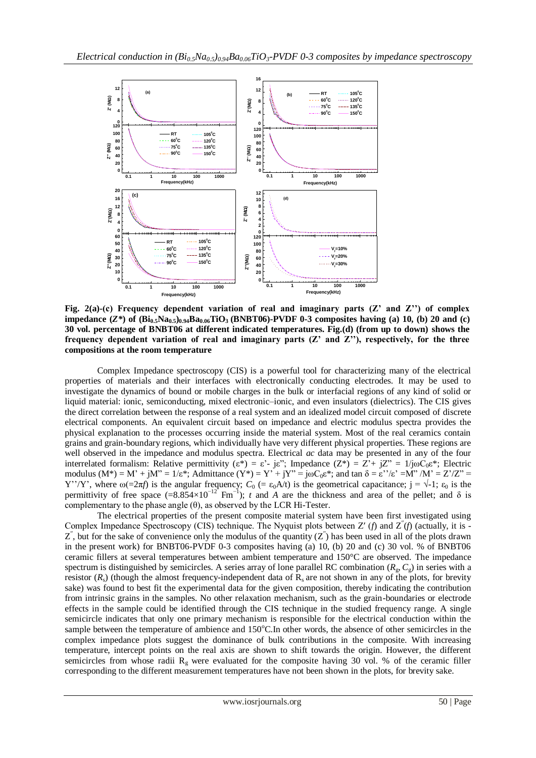

**Fig. 2(a)-(c) Frequency dependent variation of real and imaginary parts (Z' and Z'') of complex impedance (***Z\****) of (Bi0.5Na0.5)0.94Ba0.06TiO3 (BNBT06)-PVDF 0-3 composites having (a) 10, (b) 20 and (c) 30 vol. percentage of BNBT06 at different indicated temperatures. Fig.(d) (from up to down) shows the frequency dependent variation of real and imaginary parts (Z' and Z''), respectively, for the three compositions at the room temperature**

Complex Impedance spectroscopy (CIS) is a powerful tool for characterizing many of the electrical properties of materials and their interfaces with electronically conducting electrodes. It may be used to investigate the dynamics of bound or mobile charges in the bulk or interfacial regions of any kind of solid or liquid material: ionic, semiconducting, mixed electronic–ionic, and even insulators (dielectrics). The CIS gives the direct correlation between the response of a real system and an idealized model circuit composed of discrete electrical components. An equivalent circuit based on impedance and electric modulus spectra provides the physical explanation to the processes occurring inside the material system. Most of the real ceramics contain grains and grain-boundary regions, which individually have very different physical properties. These regions are well observed in the impedance and modulus spectra. Electrical *ac* data may be presented in any of the four interrelated formalism: Relative permittivity ( $\varepsilon^*$ ) =  $\varepsilon^*$ - j $\varepsilon^*$ ; Impedance ( $Z^*$ ) =  $Z^*$ + j $Z^*$  = 1/jωC<sub>0</sub> $\varepsilon^*$ ; Electric modulus  $(M^*) = M' + jM'' = 1/\varepsilon^*$ ; Admittance  $(Y^*) = Y' + jY'' = j\omega C_0\varepsilon^*$ ; and tan  $\delta = \varepsilon' / \varepsilon' = M'' / M' = Z'/Z'' =$ Y''/Y', where  $\omega$ (=2 $\pi f$ ) is the angular frequency;  $C_0$  (=  $\varepsilon_0$ A/t) is the geometrical capacitance; j =  $\sqrt{-1}$ ;  $\varepsilon_0$  is the permittivity of free space  $(=8.854\times10^{-12} \text{ Fm}^{-1})$ ; *t* and *A* are the thickness and area of the pellet; and  $\delta$  is complementary to the phase angle (θ), as observed by the LCR Hi-Tester.

The electrical properties of the present composite material system have been first investigated using Complex Impedance Spectroscopy (CIS) technique. The Nyquist plots between Z' (*f*) and Z'(*f*) (actually, it is - $Z'$ , but for the sake of convenience only the modulus of the quantity  $(Z'')$  has been used in all of the plots drawn in the present work) for BNBT06-PVDF 0-3 composites having (a) 10, (b) 20 and (c) 30 vol. % of BNBT06 ceramic fillers at several temperatures between ambient temperature and 150°C are observed. The impedance spectrum is distinguished by semicircles. A series array of lone parallel RC combination  $(R_g, C_g)$  in series with a resistor  $(R_s)$  (though the almost frequency-independent data of  $R_s$  are not shown in any of the plots, for brevity sake) was found to best fit the experimental data for the given composition, thereby indicating the contribution from intrinsic grains in the samples. No other relaxation mechanism, such as the grain-boundaries or electrode effects in the sample could be identified through the CIS technique in the studied frequency range. A single semicircle indicates that only one primary mechanism is responsible for the electrical conduction within the sample between the temperature of ambience and  $150^{\circ}$ C.In other words, the absence of other semicircles in the complex impedance plots suggest the dominance of bulk contributions in the composite. With increasing temperature, intercept points on the real axis are shown to shift towards the origin. However, the different semicircles from whose radii  $R<sub>g</sub>$  were evaluated for the composite having 30 vol. % of the ceramic filler corresponding to the different measurement temperatures have not been shown in the plots, for brevity sake.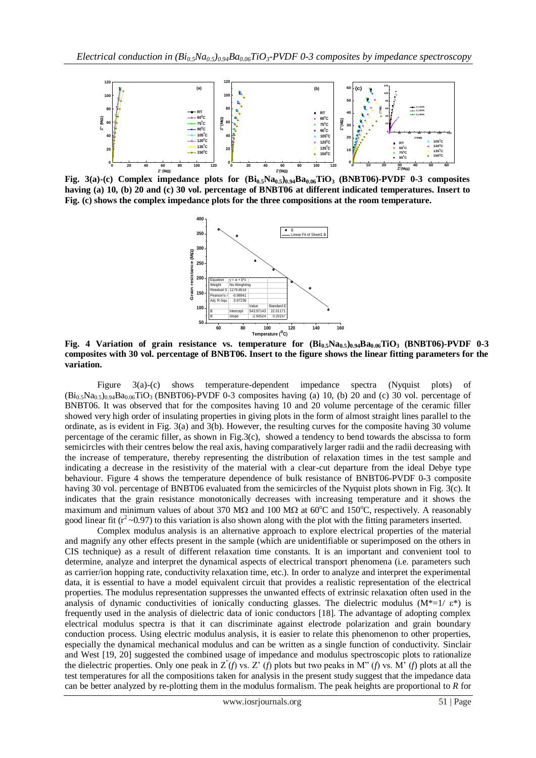

**Fig. 3(a)-(c) Complex impedance plots for (Bi0.5Na0.5)0.94Ba0.06TiO3 (BNBT06)-PVDF 0-3 composites having (a) 10, (b) 20 and (c) 30 vol. percentage of BNBT06 at different indicated temperatures. Insert to Fig. (c) shows the complex impedance plots for the three compositions at the room temperature.**



**Fig. 4 Variation of grain resistance vs. temperature for (Bi0.5Na0.5)0.94Ba0.06TiO3 (BNBT06)-PVDF 0-3 composites with 30 vol. percentage of BNBT06. Insert to the figure shows the linear fitting parameters for the variation.**

Figure 3(a)-(c) shows temperature-dependent impedance spectra (Nyquist plots) of  $(Bi<sub>0.5</sub>Na<sub>0.5</sub>)<sub>0.94</sub>Ba<sub>0.06</sub>TiO<sub>3</sub>$  (BNBT06)-PVDF 0-3 composites having (a) 10, (b) 20 and (c) 30 vol. percentage of BNBT06. It was observed that for the composites having 10 and 20 volume percentage of the ceramic filler showed very high order of insulating properties in giving plots in the form of almost straight lines parallel to the ordinate, as is evident in Fig. 3(a) and 3(b). However, the resulting curves for the composite having 30 volume percentage of the ceramic filler, as shown in Fig.3(c), showed a tendency to bend towards the abscissa to form semicircles with their centres below the real axis, having comparatively larger radii and the radii decreasing with the increase of temperature, thereby representing the distribution of relaxation times in the test sample and indicating a decrease in the resistivity of the material with a clear-cut departure from the ideal Debye type behaviour. Figure 4 shows the temperature dependence of bulk resistance of BNBT06-PVDF 0-3 composite having 30 vol. percentage of BNBT06 evaluated from the semicircles of the Nyquist plots shown in Fig. 3(c). It indicates that the grain resistance monotonically decreases with increasing temperature and it shows the maximum and minimum values of about 370 M $\Omega$  and 100 M $\Omega$  at 60°C and 150°C, respectively. A reasonably good linear fit ( $r^2 \sim 0.97$ ) to this variation is also shown along with the plot with the fitting parameters inserted.

Complex modulus analysis is an alternative approach to explore electrical properties of the material and magnify any other effects present in the sample (which are unidentifiable or superimposed on the others in CIS technique) as a result of different relaxation time constants. It is an important and convenient tool to determine, analyze and interpret the dynamical aspects of electrical transport phenomena (i.e. parameters such as carrier/ion hopping rate, conductivity relaxation time, etc.). In order to analyze and interpret the experimental data, it is essential to have a model equivalent circuit that provides a realistic representation of the electrical properties. The modulus representation suppresses the unwanted effects of extrinsic relaxation often used in the analysis of dynamic conductivities of ionically conducting glasses. The dielectric modulus (M\*=1/ $\varepsilon$ \*) is frequently used in the analysis of dielectric data of ionic conductors [18]. The advantage of adopting complex electrical modulus spectra is that it can discriminate against electrode polarization and grain boundary conduction process. Using electric modulus analysis, it is easier to relate this phenomenon to other properties, especially the dynamical mechanical modulus and can be written as a single function of conductivity. Sinclair and West [19, 20] suggested the combined usage of impedance and modulus spectroscopic plots to rationalize the dielectric properties. Only one peak in  $Z''(f)$  vs. Z' (*f*) plots but two peaks in M" (*f*) vs. M<sup>3</sup> (*f*) plots at all the test temperatures for all the compositions taken for analysis in the present study suggest that the impedance data can be better analyzed by re-plotting them in the modulus formalism. The peak heights are proportional to *R* for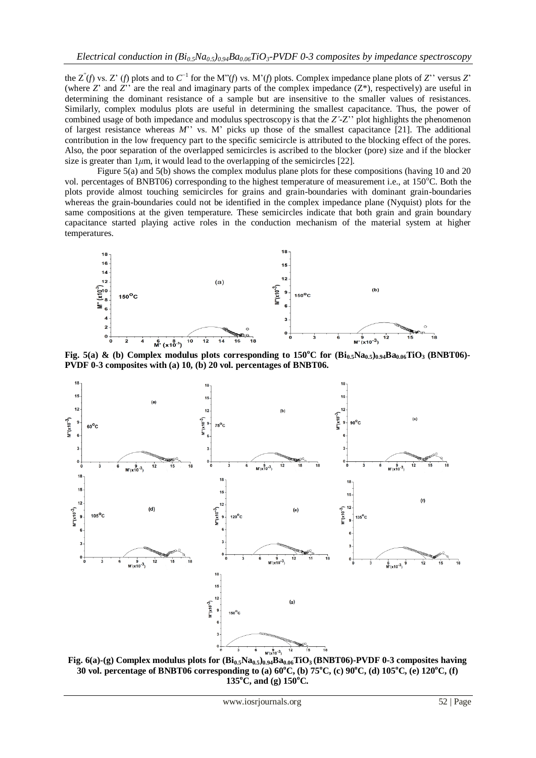the  $Z^{(n)}(f)$  vs.  $Z^{(n)}(f)$  plots and to  $C^{-1}$  for the M<sup>2</sup>(*f*) vs. M<sup>2</sup>(*f*) plots. Complex impedance plane plots of  $Z^{(n)}$  versus  $Z^{(n)}$ (where *Z*' and *Z*<sup>'</sup> are the real and imaginary parts of the complex impedance  $(Z^*)$ , respectively) are useful in determining the dominant resistance of a sample but are insensitive to the smaller values of resistances. Similarly, complex modulus plots are useful in determining the smallest capacitance. Thus, the power of combined usage of both impedance and modulus spectroscopy is that the *Z'*-Z'' plot highlights the phenomenon of largest resistance whereas *M*'' vs. M' picks up those of the smallest capacitance [21]. The additional contribution in the low frequency part to the specific semicircle is attributed to the blocking effect of the pores. Also, the poor separation of the overlapped semicircles is ascribed to the blocker (pore) size and if the blocker size is greater than  $1\mu$ m, it would lead to the overlapping of the semicircles [22].

Figure 5(a) and 5(b) shows the complex modulus plane plots for these compositions (having 10 and 20 vol. percentages of BNBT06) corresponding to the highest temperature of measurement i.e., at 150<sup>o</sup>C. Both the plots provide almost touching semicircles for grains and grain-boundaries with dominant grain-boundaries whereas the grain-boundaries could not be identified in the complex impedance plane (Nyquist) plots for the same compositions at the given temperature. These semicircles indicate that both grain and grain boundary capacitance started playing active roles in the conduction mechanism of the material system at higher temperatures.



**Fig. 5(a) & (b) Complex modulus plots corresponding to 150<sup>°</sup>C for**  $(Bi<sub>0.5</sub>Na<sub>0.5</sub>)<sub>0.94</sub>Ba<sub>0.06</sub>TiO<sub>3</sub> (BNBT06)-$ **PVDF 0-3 composites with (a) 10, (b) 20 vol. percentages of BNBT06.**



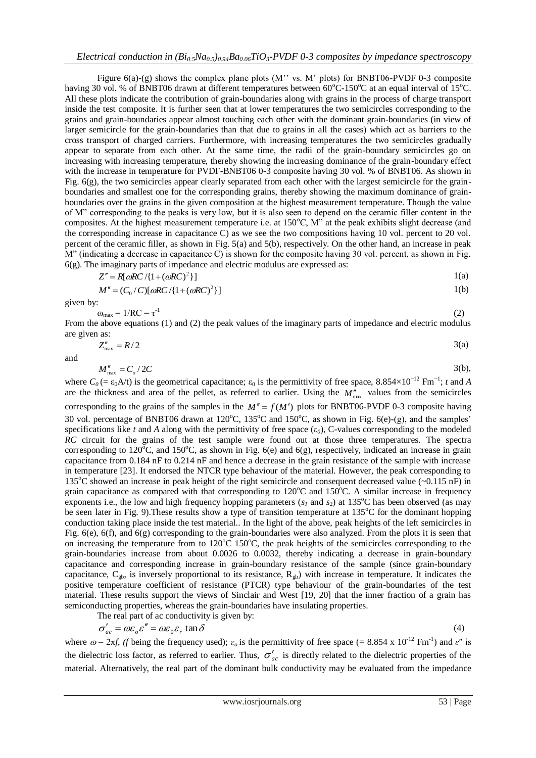Figure  $6(a)$ - $(g)$  shows the complex plane plots  $(M'$  vs. M' plots) for BNBT06-PVDF 0-3 composite having 30 vol. % of BNBT06 drawn at different temperatures between  $60^{\circ}$ C-150 $^{\circ}$ C at an equal interval of 15 $^{\circ}$ C. All these plots indicate the contribution of grain-boundaries along with grains in the process of charge transport inside the test composite. It is further seen that at lower temperatures the two semicircles corresponding to the grains and grain-boundaries appear almost touching each other with the dominant grain-boundaries (in view of larger semicircle for the grain-boundaries than that due to grains in all the cases) which act as barriers to the cross transport of charged carriers. Furthermore, with increasing temperatures the two semicircles gradually appear to separate from each other. At the same time, the radii of the grain-boundary semicircles go on increasing with increasing temperature, thereby showing the increasing dominance of the grain-boundary effect with the increase in temperature for PVDF-BNBT06 0-3 composite having 30 vol. % of BNBT06. As shown in Fig.  $6(g)$ , the two semicircles appear clearly separated from each other with the largest semicircle for the grainboundaries and smallest one for the corresponding grains, thereby showing the maximum dominance of grainboundaries over the grains in the given composition at the highest measurement temperature. Though the value of M" corresponding to the peaks is very low, but it is also seen to depend on the ceramic filler content in the composites. At the highest measurement temperature i.e. at 150°C, M" at the peak exhibits slight decrease (and the corresponding increase in capacitance C) as we see the two compositions having 10 vol. percent to 20 vol. percent of the ceramic filler, as shown in Fig. 5(a) and 5(b), respectively. On the other hand, an increase in peak M" (indicating a decrease in capacitance C) is shown for the composite having 30 vol. percent, as shown in Fig. 6(g). The imaginary parts of impedance and electric modulus are expressed as:

$$
Z'' = R[\omega RC/\{1 + (\omega RC)^2\}]
$$

$$
M'' = (C_0/C)[\omega RC/\{1+(\omega RC)^2\}]
$$

given by:

$$
\omega_{\text{max}} = 1/RC = \tau^{-1}
$$
\n(2)

\nFrom the above equations (1) and (2) the peak values of the imaginary parts of impedance and electric modulus are given as:

$$
Z''_{\text{max}} = R/2 \tag{3(a)}
$$

and

$$
M''_{\text{max}} = C_o / 2C \tag{3(b)}
$$

where  $C_0$  (=  $\varepsilon_0$ A/t) is the geometrical capacitance;  $\varepsilon_0$  is the permittivity of free space, 8.854×10<sup>-12</sup> Fm<sup>-1</sup>; *t* and *A* are the thickness and area of the pellet, as referred to earlier. Using the  $M''_{\text{max}}$  values from the semicircles corresponding to the grains of the samples in the  $M'' = f(M')$  plots for BNBT06-PVDF 0-3 composite having 30 vol. percentage of BNBT06 drawn at 120 $^{\circ}$ C, 135 $^{\circ}$ C and 150 $^{\circ}$ C, as shown in Fig. 6(e)-(g), and the samples' specifications like *t* and *A* along with the permittivity of free space  $(\epsilon_0)$ , C-values corresponding to the modeled *RC* circuit for the grains of the test sample were found out at those three temperatures. The spectra corresponding to 120<sup>o</sup>C, and 150<sup>o</sup>C, as shown in Fig. 6(e) and 6(g), respectively, indicated an increase in grain capacitance from 0.184 nF to 0.214 nF and hence a decrease in the grain resistance of the sample with increase in temperature [23]. It endorsed the NTCR type behaviour of the material. However, the peak corresponding to 135<sup>o</sup>C showed an increase in peak height of the right semicircle and consequent decreased value  $(-0.115 \text{ nF})$  in grain capacitance as compared with that corresponding to  $120^{\circ}$ C and  $150^{\circ}$ C. A similar increase in frequency exponents i.e., the low and high frequency hopping parameters  $(s<sub>1</sub>$  and  $s<sub>2</sub>)$  at 135<sup>o</sup>C has been observed (as may be seen later in Fig. 9). These results show a type of transition temperature at  $135^{\circ}$ C for the dominant hopping conduction taking place inside the test material.. In the light of the above, peak heights of the left semicircles in Fig. 6(e), 6(f), and 6(g) corresponding to the grain-boundaries were also analyzed. From the plots it is seen that on increasing the temperature from to  $120^{\circ}$ C 150 $^{\circ}$ C, the peak heights of the semicircles corresponding to the grain-boundaries increase from about 0.0026 to 0.0032, thereby indicating a decrease in grain-boundary capacitance and corresponding increase in grain-boundary resistance of the sample (since grain-boundary capacitance,  $C_{gb}$ , is inversely proportional to its resistance,  $R_{gb}$ ) with increase in temperature. It indicates the positive temperature coefficient of resistance (PTCR) type behaviour of the grain-boundaries of the test material. These results support the views of Sinclair and West [19, 20] that the inner fraction of a grain has semiconducting properties, whereas the grain-boundaries have insulating properties.

The real part of ac conductivity is given by:  
\n
$$
\sigma'_{ac} = \omega \varepsilon_o \varepsilon'' = \omega \varepsilon_0 \varepsilon_r \tan \delta
$$
\n(4)

where  $\omega = 2\pi f$ , *(f* being the frequency used);  $\varepsilon_o$  is the permittivity of free space (= 8.854 x 10<sup>-12</sup> Fm<sup>-1</sup>) and  $\varepsilon''$  is the dielectric loss factor, as referred to earlier. Thus,  $\sigma'_{ac}$  is directly related to the dielectric properties of the material. Alternatively, the real part of the dominant bulk conductivity may be evaluated from the impedance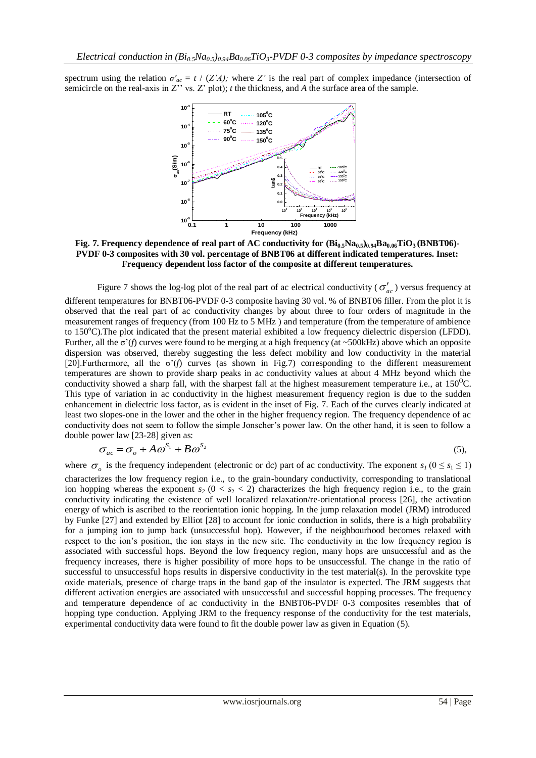spectrum using the relation  $\sigma'_{ac} = t / (Z'A)$ ; where *Z'* is the real part of complex impedance (intersection of semicircle on the real-axis in Z'' vs. Z' plot); *t* the thickness, and *A* the surface area of the sample.



**Fig. 7. Frequency dependence of real part of AC conductivity for (Bi0.5Na0.5)0.94Ba0.06TiO3 (BNBT06)- PVDF 0-3 composites with 30 vol. percentage of BNBT06 at different indicated temperatures. Inset: Frequency dependent loss factor of the composite at different temperatures.**

Figure 7 shows the log-log plot of the real part of ac electrical conductivity ( $\sigma'_{ac}$ ) versus frequency at different temperatures for BNBT06-PVDF 0-3 composite having 30 vol. % of BNBT06 filler. From the plot it is observed that the real part of ac conductivity changes by about three to four orders of magnitude in the measurement ranges of frequency (from 100 Hz to 5 MHz ) and temperature (from the temperature of ambience to  $150^{\circ}$ C). The plot indicated that the present material exhibited a low frequency dielectric dispersion (LFDD). Further, all the ζ'(*f*) curves were found to be merging at a high frequency (at ~500kHz) above which an opposite dispersion was observed, thereby suggesting the less defect mobility and low conductivity in the material [20].Furthermore, all the  $\sigma'(f)$  curves (as shown in Fig.7) corresponding to the different measurement temperatures are shown to provide sharp peaks in ac conductivity values at about 4 MHz beyond which the conductivity showed a sharp fall, with the sharpest fall at the highest measurement temperature i.e., at  $150^{\circ}$ C. This type of variation in ac conductivity in the highest measurement frequency region is due to the sudden enhancement in dielectric loss factor, as is evident in the inset of Fig. 7. Each of the curves clearly indicated at least two slopes-one in the lower and the other in the higher frequency region. The frequency dependence of ac conductivity does not seem to follow the simple Jonscher's power law. On the other hand, it is seen to follow a double power law [23-28] given as:

$$
\sigma_{ac} = \sigma_o + A\omega^{S_1} + B\omega^{S_2} \tag{5}
$$

where  $\sigma_o$  is the frequency independent (electronic or dc) part of ac conductivity. The exponent  $s_l$  ( $0 \le s_l \le 1$ ) characterizes the low frequency region i.e., to the grain-boundary conductivity, corresponding to translational ion hopping whereas the exponent  $s_2$  ( $0 < s_2 < 2$ ) characterizes the high frequency region i.e., to the grain conductivity indicating the existence of well localized relaxation/re-orientational process [26], the activation energy of which is ascribed to the reorientation ionic hopping. In the jump relaxation model (JRM) introduced by Funke [27] and extended by Elliot [28] to account for ionic conduction in solids, there is a high probability for a jumping ion to jump back (unsuccessful hop). However, if the neighbourhood becomes relaxed with respect to the ion's position, the ion stays in the new site. The conductivity in the low frequency region is associated with successful hops. Beyond the low frequency region, many hops are unsuccessful and as the frequency increases, there is higher possibility of more hops to be unsuccessful. The change in the ratio of successful to unsuccessful hops results in dispersive conductivity in the test material(s). In the perovskite type oxide materials, presence of charge traps in the band gap of the insulator is expected. The JRM suggests that different activation energies are associated with unsuccessful and successful hopping processes. The frequency and temperature dependence of ac conductivity in the BNBT06-PVDF 0-3 composites resembles that of hopping type conduction. Applying JRM to the frequency response of the conductivity for the test materials, experimental conductivity data were found to fit the double power law as given in Equation (5).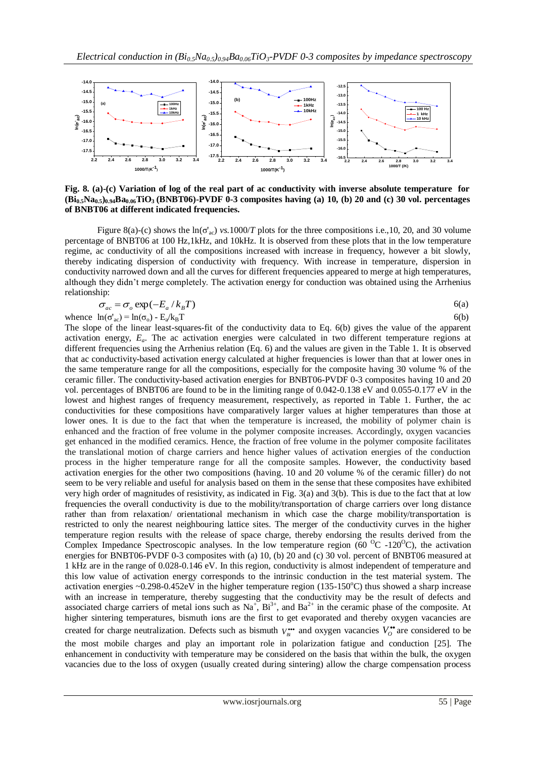

**Fig. 8. (a)-(c) Variation of log of the real part of ac conductivity with inverse absolute temperature for (Bi0.5Na0.5)0.94Ba0.06TiO3 (BNBT06)-PVDF 0-3 composites having (a) 10, (b) 20 and (c) 30 vol. percentages of BNBT06 at different indicated frequencies.**

Figure 8(a)-(c) shows the ln(ζ'ac) *vs.*1000/*T* plots for the three compositions i.e.,10, 20, and 30 volume percentage of BNBT06 at 100 Hz,1kHz, and 10kHz. It is observed from these plots that in the low temperature regime, ac conductivity of all the compositions increased with increase in frequency, however a bit slowly, thereby indicating dispersion of conductivity with frequency. With increase in temperature, dispersion in conductivity narrowed down and all the curves for different frequencies appeared to merge at high temperatures, although they didn't merge completely. The activation energy for conduction was obtained using the Arrhenius relationship:

$$
\sigma_{ac} = \sigma_o \exp(-E_a / k_B T) \tag{6a}
$$

whence  $ln(\sigma_{ac}) = ln(\sigma_{o}) - E_{a}/k_{B}T$ 

 $/k_B T$  6(b) The slope of the linear least-squares-fit of the conductivity data to Eq. 6(b) gives the value of the apparent activation energy, *Ea*. The ac activation energies were calculated in two different temperature regions at different frequencies using the Arrhenius relation (Eq. 6) and the values are given in the Table 1. It is observed that ac conductivity-based activation energy calculated at higher frequencies is lower than that at lower ones in the same temperature range for all the compositions, especially for the composite having 30 volume % of the ceramic filler. The conductivity-based activation energies for BNBT06-PVDF 0-3 composites having 10 and 20 vol. percentages of BNBT06 are found to be in the limiting range of 0.042-0.138 eV and 0.055-0.177 eV in the lowest and highest ranges of frequency measurement, respectively, as reported in Table 1. Further, the ac conductivities for these compositions have comparatively larger values at higher temperatures than those at lower ones. It is due to the fact that when the temperature is increased, the mobility of polymer chain is enhanced and the fraction of free volume in the polymer composite increases. Accordingly, oxygen vacancies get enhanced in the modified ceramics. Hence, the fraction of free volume in the polymer composite facilitates the translational motion of charge carriers and hence higher values of activation energies of the conduction process in the higher temperature range for all the composite samples. However, the conductivity based activation energies for the other two compositions (having. 10 and 20 volume % of the ceramic filler) do not seem to be very reliable and useful for analysis based on them in the sense that these composites have exhibited very high order of magnitudes of resistivity, as indicated in Fig. 3(a) and 3(b). This is due to the fact that at low frequencies the overall conductivity is due to the mobility/transportation of charge carriers over long distance rather than from relaxation/ orientational mechanism in which case the charge mobility/transportation is restricted to only the nearest neighbouring lattice sites. The merger of the conductivity curves in the higher temperature region results with the release of space charge, thereby endorsing the results derived from the Complex Impedance Spectroscopic analyses. In the low temperature region (60  $^{\circ}$ C -120 $^{\circ}$ C), the activation energies for BNBT06-PVDF 0-3 composites with (a) 10, (b) 20 and (c) 30 vol. percent of BNBT06 measured at 1 kHz are in the range of 0.028-0.146 eV. In this region, conductivity is almost independent of temperature and this low value of activation energy corresponds to the intrinsic conduction in the test material system. The activation energies ~0.298-0.452eV in the higher temperature region  $(135-150^{\circ}\text{C})$  thus showed a sharp increase with an increase in temperature, thereby suggesting that the conductivity may be the result of defects and associated charge carriers of metal ions such as  $Na^+$ ,  $Bi^{3+}$ , and  $Ba^{2+}$  in the ceramic phase of the composite. At higher sintering temperatures, bismuth ions are the first to get evaporated and thereby oxygen vacancies are created for charge neutralization. Defects such as bismuth  $V_{bi}^{**}$  and oxygen vacancies  $V_o^{**}$  are considered to be the most mobile charges and play an important role in polarization fatigue and conduction [25]. The enhancement in conductivity with temperature may be considered on the basis that within the bulk, the oxygen vacancies due to the loss of oxygen (usually created during sintering) allow the charge compensation process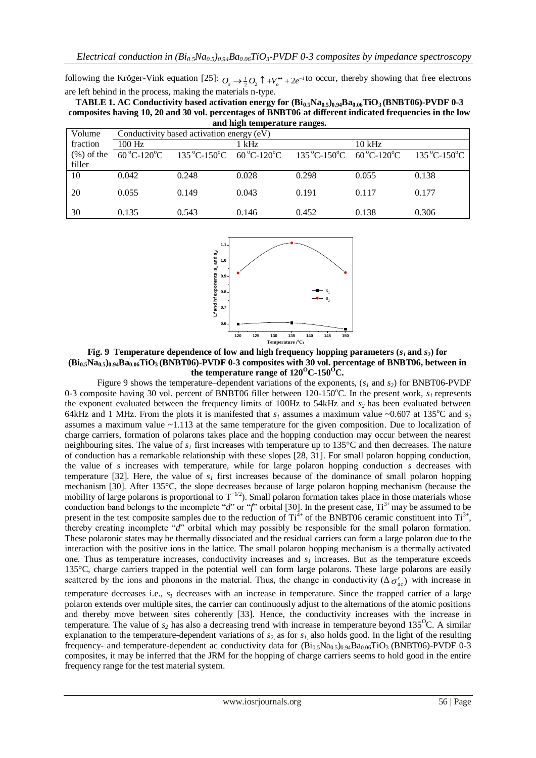following the Kröger-Vink equation [25]:  $O_{\rho} \to \frac{1}{2}O_2 \uparrow +V_{\rho}^{\bullet\bullet}+2e^{-1}$  to occur, thereby showing that free electrons are left behind in the process, making the materials n-type.

**TABLE 1. AC Conductivity based activation energy for (Bi0.5Na0.5)0.94Ba0.06TiO3 (BNBT06)-PVDF 0-3 composites having 10, 20 and 30 vol. percentages of BNBT06 at different indicated frequencies in the low and high temperature ranges.**

| and men winperature ranges. |                                           |                                                                         |       |                                                                     |          |                                    |
|-----------------------------|-------------------------------------------|-------------------------------------------------------------------------|-------|---------------------------------------------------------------------|----------|------------------------------------|
| Volume                      | Conductivity based activation energy (eV) |                                                                         |       |                                                                     |          |                                    |
| fraction                    | $100$ Hz                                  |                                                                         | 1 kHz |                                                                     | $10$ kHz |                                    |
| $(\%)$ of the               | $60^{\circ}$ C-120 $^{\circ}$ C           | $135^{\circ}$ C-150 <sup>o</sup> C 60 <sup>o</sup> C-120 <sup>o</sup> C |       | $135\,^{\circ}$ C-150 $^{\circ}$ C 60 $^{\circ}$ C-120 $^{\circ}$ C |          | $135\,^{\circ}$ C-150 $^{\circ}$ C |
| filler                      |                                           |                                                                         |       |                                                                     |          |                                    |
| 10                          | 0.042                                     | 0.248                                                                   | 0.028 | 0.298                                                               | 0.055    | 0.138                              |
| 20                          | 0.055                                     | 0.149                                                                   | 0.043 | 0.191                                                               | 0.117    | 0.177                              |
| 30                          | 0.135                                     | 0.543                                                                   | 0.146 | 0.452                                                               | 0.138    | 0.306                              |



**Fig. 9 Temperature dependence of low and high frequency hopping parameters (** $s<sub>I</sub>$  **and**  $s<sub>2</sub>$ **) for (Bi0.5Na0.5)0.94Ba0.06TiO3 (BNBT06)-PVDF 0-3 composites with 30 vol. percentage of BNBT06, between in**  the temperature range of  $120^{\circ}$ C-150<sup>°</sup>C.

Figure 9 shows the temperature–dependent variations of the exponents, (*s<sup>1</sup>* and *s2*) for BNBT06-PVDF 0-3 composite having 30 vol. percent of BNBT06 filler between 120-150 $^{\circ}$ C. In the present work,  $s<sub>l</sub>$  represents the exponent evaluated between the frequency limits of 100Hz to 54kHz and *s<sup>2</sup>* has been evaluated between 64kHz and 1 MHz. From the plots it is manifested that  $s<sub>l</sub>$  assumes a maximum value ~0.607 at 135<sup>o</sup>C and  $s<sub>2</sub>$ assumes a maximum value  $\sim$ 1.113 at the same temperature for the given composition. Due to localization of charge carriers, formation of polarons takes place and the hopping conduction may occur between the nearest neighbouring sites. The value of  $s<sub>l</sub>$  first increases with temperature up to 135 $^{\circ}$ C and then decreases. The nature of conduction has a remarkable relationship with these slopes [28, 31]. For small polaron hopping conduction, the value of *s* increases with temperature, while for large polaron hopping conduction *s* decreases with temperature [32]. Here, the value of  $s<sub>l</sub>$  first increases because of the dominance of small polaron hopping mechanism [30]. After 135°C, the slope decreases because of large polaron hopping mechanism (because the mobility of large polarons is proportional to  $T^{-1/2}$ ). Small polaron formation takes place in those materials whose conduction band belongs to the incomplete "*d*" or "*f*" orbital [30]. In the present case,  $Ti^{3+}$  may be assumed to be present in the test composite samples due to the reduction of  $Ti^{4+}$  of the BNBT06 ceramic constituent into  $Ti^{3+}$ , thereby creating incomplete "*d*" orbital which may possibly be responsible for the small polaron formation. These polaronic states may be thermally dissociated and the residual carriers can form a large polaron due to the interaction with the positive ions in the lattice. The small polaron hopping mechanism is a thermally activated one. Thus as temperature increases, conductivity increases and *s<sup>1</sup>* increases. But as the temperature exceeds 135°C, charge carriers trapped in the potential well can form large polarons. These large polarons are easily scattered by the ions and phonons in the material. Thus, the change in conductivity  $(\Delta \sigma'_{ac})$  with increase in temperature decreases i.e., *s<sup>1</sup>* decreases with an increase in temperature. Since the trapped carrier of a large polaron extends over multiple sites, the carrier can continuously adjust to the alternations of the atomic positions and thereby move between sites coherently [33]. Hence, the conductivity increases with the increase in temperature. The value of  $s_2$  has also a decreasing trend with increase in temperature beyond  $135^{\circ}$ C. A similar explanation to the temperature-dependent variations of *s2,* as for *s1,* also holds good. In the light of the resulting frequency- and temperature-dependent ac conductivity data for  $(Bi_{0.5}Na_{0.5})_{0.94}Ba_{0.06}TiO_3$  (BNBT06)-PVDF 0-3 composites, it may be inferred that the JRM for the hopping of charge carriers seems to hold good in the entire frequency range for the test material system.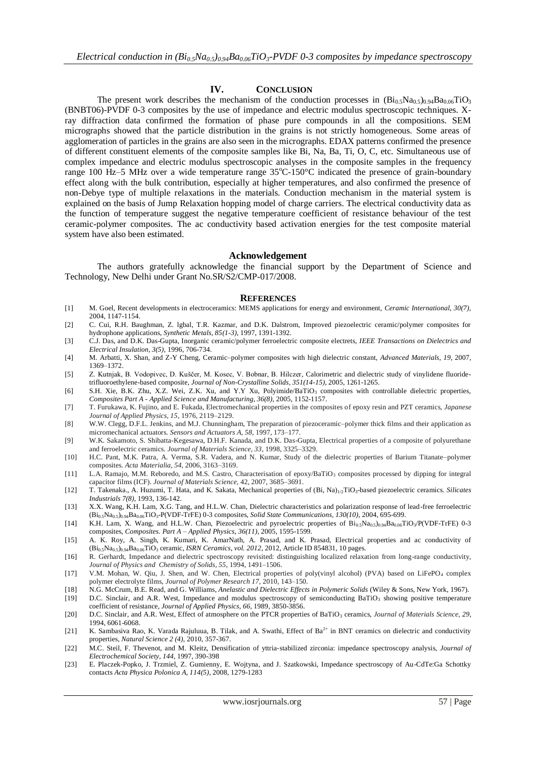#### **IV. CONCLUSION**

The present work describes the mechanism of the conduction processes in  $(Bi_{0.5}Na_{0.5})_{0.94}Ba_{0.06}TiO_3$ (BNBT06)-PVDF 0-3 composites by the use of impedance and electric modulus spectroscopic techniques. Xray diffraction data confirmed the formation of phase pure compounds in all the compositions. SEM micrographs showed that the particle distribution in the grains is not strictly homogeneous. Some areas of agglomeration of particles in the grains are also seen in the micrographs. EDAX patterns confirmed the presence of different constituent elements of the composite samples like Bi, Na, Ba, Ti, O, C, etc. Simultaneous use of complex impedance and electric modulus spectroscopic analyses in the composite samples in the frequency range 100 Hz-5 MHz over a wide temperature range 35°C-150°C indicated the presence of grain-boundary effect along with the bulk contribution, especially at higher temperatures, and also confirmed the presence of non-Debye type of multiple relaxations in the materials. Conduction mechanism in the material system is explained on the basis of Jump Relaxation hopping model of charge carriers. The electrical conductivity data as the function of temperature suggest the negative temperature coefficient of resistance behaviour of the test ceramic-polymer composites. The ac conductivity based activation energies for the test composite material system have also been estimated.

#### **Acknowledgement**

The authors gratefully acknowledge the financial support by the Department of Science and Technology, New Delhi under Grant No.SR/S2/CMP-017/2008.

#### **REFERENCES**

- [1] M. Goel, Recent developments in electroceramics: MEMS applications for energy and environment, *Ceramic International, 30(7),*  2004, 1147-1154.
- [2] C. Cui, R.H. Baughman, Z. lgbal, T.R. Kazmar, and D.K. Dalstrom, Improved piezoelectric ceramic/polymer composites for hydrophone applications, *Synthetic Metals, 85(1-3)*, 1997, 1391-1392.
- [3] C.J. Das, and D.K. Das-Gupta, Inorganic ceramic/polymer ferroelectric composite electrets, *IEEE Transactions on Dielectrics and Electrical Insulation, 3(5)*, 1996, 706-734.
- [4] M. Arbatti, X. Shan, and Z-Y Cheng, Ceramic–polymer composites with high dielectric constant, *Advanced Materials*, *19*, 2007, 1369–1372.
- [5] Z. Kutnjak, B. Vodopivec, D. Kuščer, M. Kosec, V. Bobnar, B. Hilczer, Calorimetric and dielectric study of vinylidene fluoridetrifluoroethylene-based composite, *Journal of Non-Crystalline Solids, 351(14-15)*, 2005, 1261-1265.
- [6] S.H. Xie, B.K. Zhu, X.Z. Wei, Z.K. Xu, and Y.Y Xu, Polyimide/BaTiO<sub>3</sub> composites with controllable dielectric properties, *Composites Part A - Applied Science and Manufacturing, 36(8),* 2005, 1152-1157.
- [7] T. Furukawa, K. Fujino, and E. Fukada, Electromechanical properties in the composites of epoxy resin and PZT ceramics, *Japanese Journal of Applied Physics, 15,* 1976, 2119–2129.
- [8] W.W. Clegg, D.F.L. Jenkins, and M.J. Chunningham, The preparation of piezoceramic–polymer thick films and their application as micromechanical actuators. *Sensors and Actuators A, 58*, 1997, 173–177.
- [9] W.K. Sakamoto, S. Shibatta-Kegesawa, D.H.F. Kanada, and D.K. Das-Gupta, Electrical properties of a composite of polyurethane and ferroelectric ceramics. *Journal of Materials Science, 33*, 1998, 3325–3329.
- [10] H.C. Pant, M.K. Patra, A. Verma, S.R. Vadera, and N. Kumar, Study of the dielectric properties of Barium Titanate–polymer composites. *Acta Materialia, 54*, 2006, 3163–3169.
- [11] L.A. Ramajo, M.M. Reboredo, and M.S. Castro, Characterisation of epoxy/BaTiO<sub>3</sub> composites processed by dipping for integral capacitor films (ICF). *Journal of Materials Science,* 42, 2007, 3685–3691.
- [12] T. Takenaka., A. Huzumi, T. Hata, and K. Sakata, Mechanical properties of (Bi, Na)1/2TiO3-based piezoelectric ceramics. *Silicates Industrials 7(8),* 1993, 136-142.
- [13] X.X. Wang, K.H. Lam, X.G. Tang, and H.L.W. Chan, Dielectric characteristics and polarization response of lead-free ferroelectric (Bi0.5Na0.5)0.94Ba0.06TiO3-P(VDF-TrFE) 0-3 composites, *Solid State Communications, 130(10),* 2004, 695-699.
- [14] K.H. Lam, X. Wang, and H.L.W. Chan, Piezoelectric and pyroelectric properties of  $Bi_{0.5}Na_{0.5}Na_{0.9}Ba_{0.06}TiO_3/P(VDF-TrFE)$  0-3 composites, *Composites. Part A – Applied Physics, 36(11)*, 2005, 1595-1599.
- [15] A. K. Roy, A. Singh, K. Kumari, K. AmarNath, A. Prasad, and K. Prasad, Electrical properties and ac conductivity of (Bi0.5Na0.5)0.94Ba0.06TiO<sup>3</sup> ceramic, *ISRN Ceramics*, *vol. 2012*, 2012, Article ID 854831, 10 pages.
- [16] R. Gerhardt, Impedance and dielectric spectroscopy revisited: distinguishing localized relaxation from long-range conductivity, *Journal of Physics and Chemistry of Solids, 55,* 1994, 1491–1506.
- [17] V.M. Mohan, W. Qiu, J. Shen, and W. Chen, Electrical properties of poly(vinyl alcohol) (PVA) based on LiFePO<sup>4</sup> complex polymer electrolyte films, *Journal of Polymer Research 17,* 2010, 143–150.
- [18] N.G. McCrum, B.E. Read, and G. Williams, *Anelastic and Dielectric Effects in Polymeric Solids* (Wiley & Sons, New York, 1967).
- [19] D.C. Sinclair, and A.R. West, Impedance and modulus spectroscopy of semiconducting BaTiO<sub>3</sub> showing positive temperature coefficient of resistance, *Journal of Applied Physics, 66*, 1989, 3850-3856.
- [20] D.C. Sinclair, and A.R. West, Effect of atmosphere on the PTCR properties of BaTiO<sub>3</sub> ceramics, *Journal of Materials Science*, 29, 1994, 6061-6068.
- [21] K. Sambasiva Rao, K. Varada Rajuluua, B. Tilak, and A. Swathi, Effect of Ba<sup>2+</sup> in BNT ceramics on dielectric and conductivity properties, *Natural Science 2 (4)*, 2010, 357-367.
- [22] M.C. Steil, F. Thevenot, and M. Kleitz, Densification of yttria‐stabilized zirconia: impedance spectroscopy analysis, *Journal of Electrochemical Society, 144,* 1997, 390-398
- [23] E. Placzek-Popko, J. Trzmiel, Z. Gumienny, E. Wojtyna, and J. Szatkowski, Impedance spectroscopy of Au-CdTe:Ga Schottky contacts *Acta Physica Polonica A, 114(5)*, 2008, 1279-1283